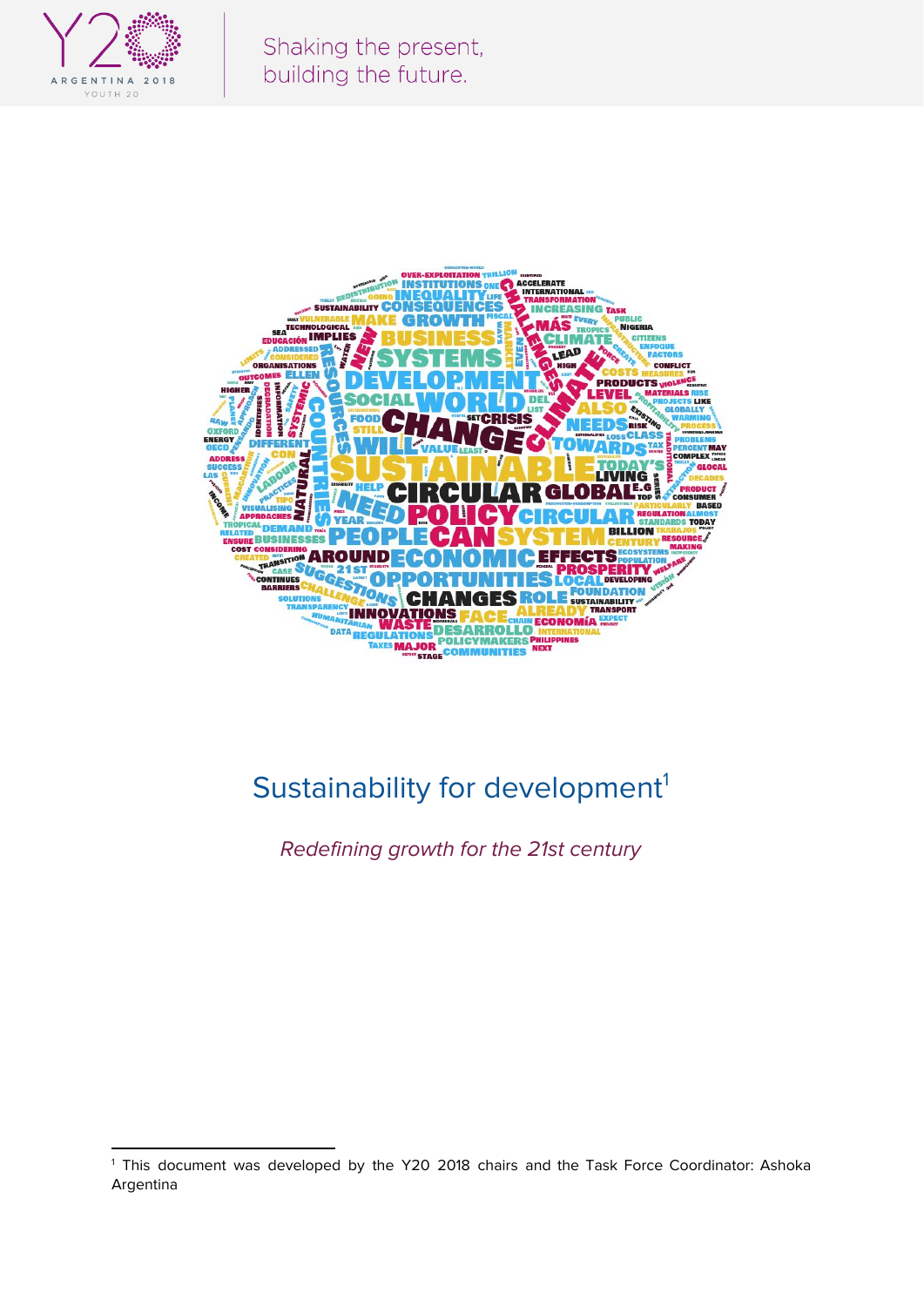



# Sustainability for development<sup>1</sup>

Redefining growth for the 21st century

<sup>&</sup>lt;sup>1</sup> This document was developed by the Y20 2018 chairs and the Task Force Coordinator: Ashoka Argentina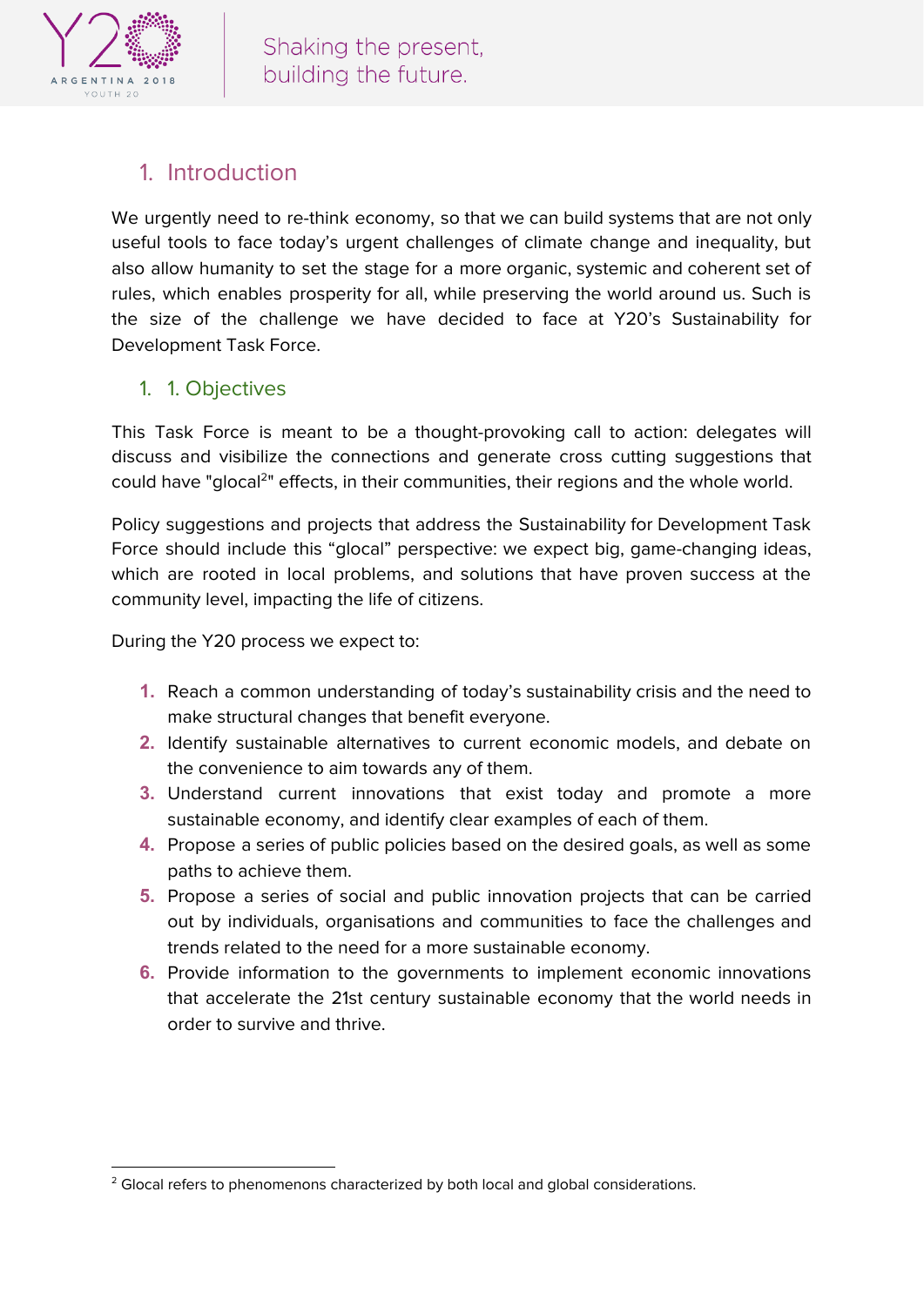

# 1. Introduction

We urgently need to re-think economy, so that we can build systems that are not only useful tools to face today's urgent challenges of climate change and inequality, but also allow humanity to set the stage for a more organic, systemic and coherent set of rules, which enables prosperity for all, while preserving the world around us. Such is the size of the challenge we have decided to face at Y20's Sustainability for Development Task Force.

#### 1. 1. Objectives

This Task Force is meant to be a thought-provoking call to action: delegates will discuss and visibilize the connections and generate cross cutting suggestions that could have "glocal<sup>2</sup>" effects, in their communities, their regions and the whole world.

Policy suggestions and projects that address the Sustainability for Development Task Force should include this "glocal" perspective: we expect big, game-changing ideas, which are rooted in local problems, and solutions that have proven success at the community level, impacting the life of citizens.

During the Y20 process we expect to:

- **1.** Reach a common understanding of today's sustainability crisis and the need to make structural changes that benefit everyone.
- **2.** Identify sustainable alternatives to current economic models, and debate on the convenience to aim towards any of them.
- **3.** Understand current innovations that exist today and promote a more sustainable economy, and identify clear examples of each of them.
- **4.** Propose a series of public policies based on the desired goals, as well as some paths to achieve them.
- **5.** Propose a series of social and public innovation projects that can be carried out by individuals, organisations and communities to face the challenges and trends related to the need for a more sustainable economy.
- **6.** Provide information to the governments to implement economic innovations that accelerate the 21st century sustainable economy that the world needs in order to survive and thrive.

<sup>&</sup>lt;sup>2</sup> Glocal refers to phenomenons characterized by both local and global considerations.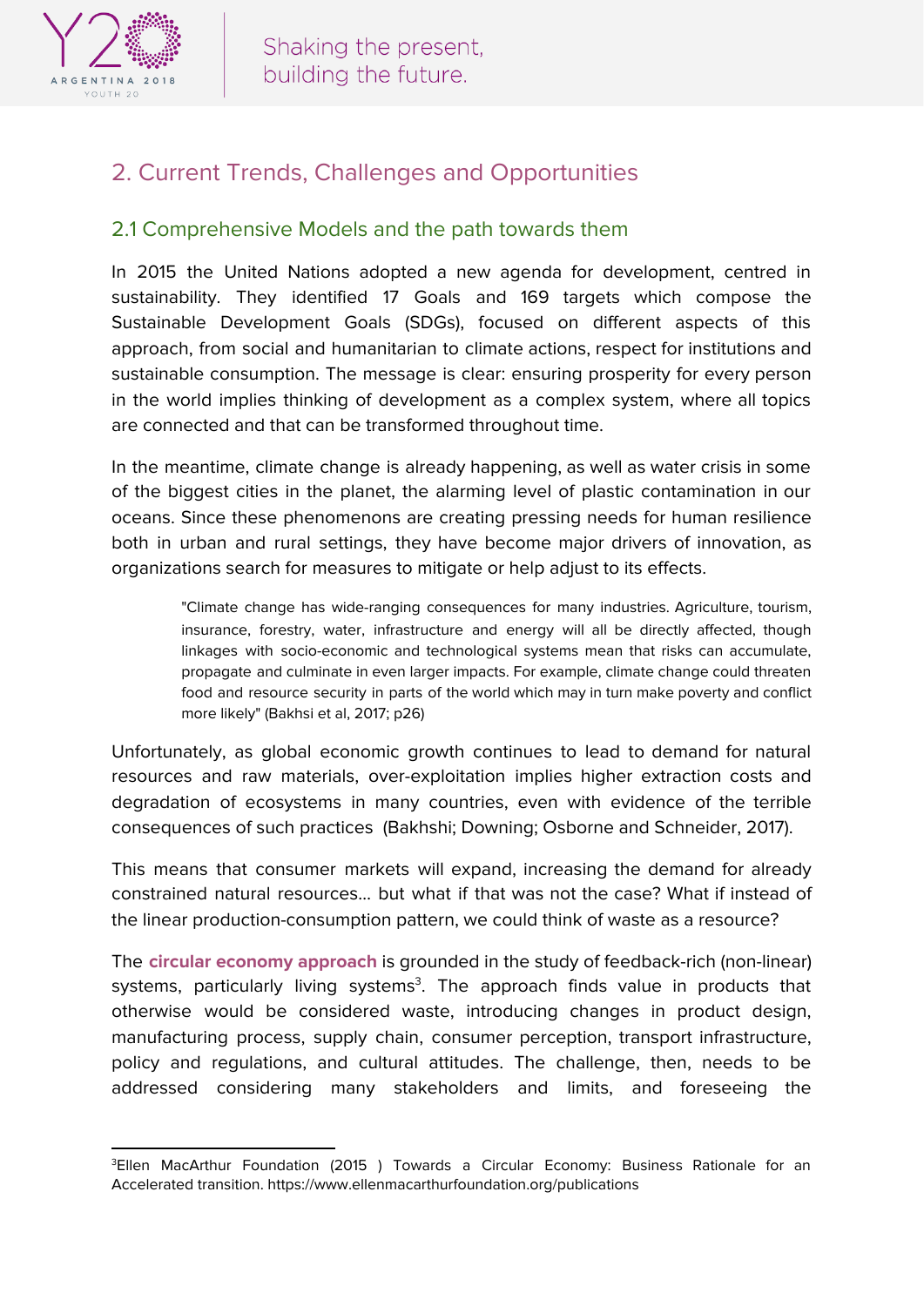

## 2. Current Trends, Challenges and Opportunities

#### 2.1 Comprehensive Models and the path towards them

In 2015 the United Nations adopted a new agenda for development, centred in sustainability. They identified 17 Goals and 169 targets which compose the Sustainable Development Goals (SDGs), focused on different aspects of this approach, from social and humanitarian to climate actions, respect for institutions and sustainable consumption. The message is clear: ensuring prosperity for every person in the world implies thinking of development as a complex system, where all topics are connected and that can be transformed throughout time.

In the meantime, climate change is already happening, as well as water crisis in some of the biggest cities in the planet, the alarming level of plastic contamination in our oceans. Since these phenomenons are creating pressing needs for human resilience both in urban and rural settings, they have become major drivers of innovation, as organizations search for measures to mitigate or help adjust to its effects.

"Climate change has wide-ranging consequences for many industries. Agriculture, tourism, insurance, forestry, water, infrastructure and energy will all be directly affected, though linkages with socio-economic and technological systems mean that risks can accumulate, propagate and culminate in even larger impacts. For example, climate change could threaten food and resource security in parts of the world which may in turn make poverty and conflict more likely" (Bakhsi et al, 2017; p26)

Unfortunately, as global economic growth continues to lead to demand for natural resources and raw materials, over-exploitation implies higher extraction costs and degradation of ecosystems in many countries, even with evidence of the terrible consequences of such practices (Bakhshi; Downing; Osborne and Schneider, 2017).

This means that consumer markets will expand, increasing the demand for already constrained natural resources… but what if that was not the case? What if instead of the linear production-consumption pattern, we could think of waste as a resource?

The **circular economy approach** is grounded in the study of feedback-rich (non-linear) systems, particularly living systems<sup>3</sup>. The approach finds value in products that otherwise would be considered waste, introducing changes in product design, manufacturing process, supply chain, consumer perception, transport infrastructure, policy and regulations, and cultural attitudes. The challenge, then, needs to be addressed considering many stakeholders and limits, and foreseeing the

<sup>&</sup>lt;sup>3</sup>Ellen MacArthur Foundation (2015) Towards a Circular Economy: Business Rationale for an Accelerated transition. https://www.ellenmacarthurfoundation.org/publications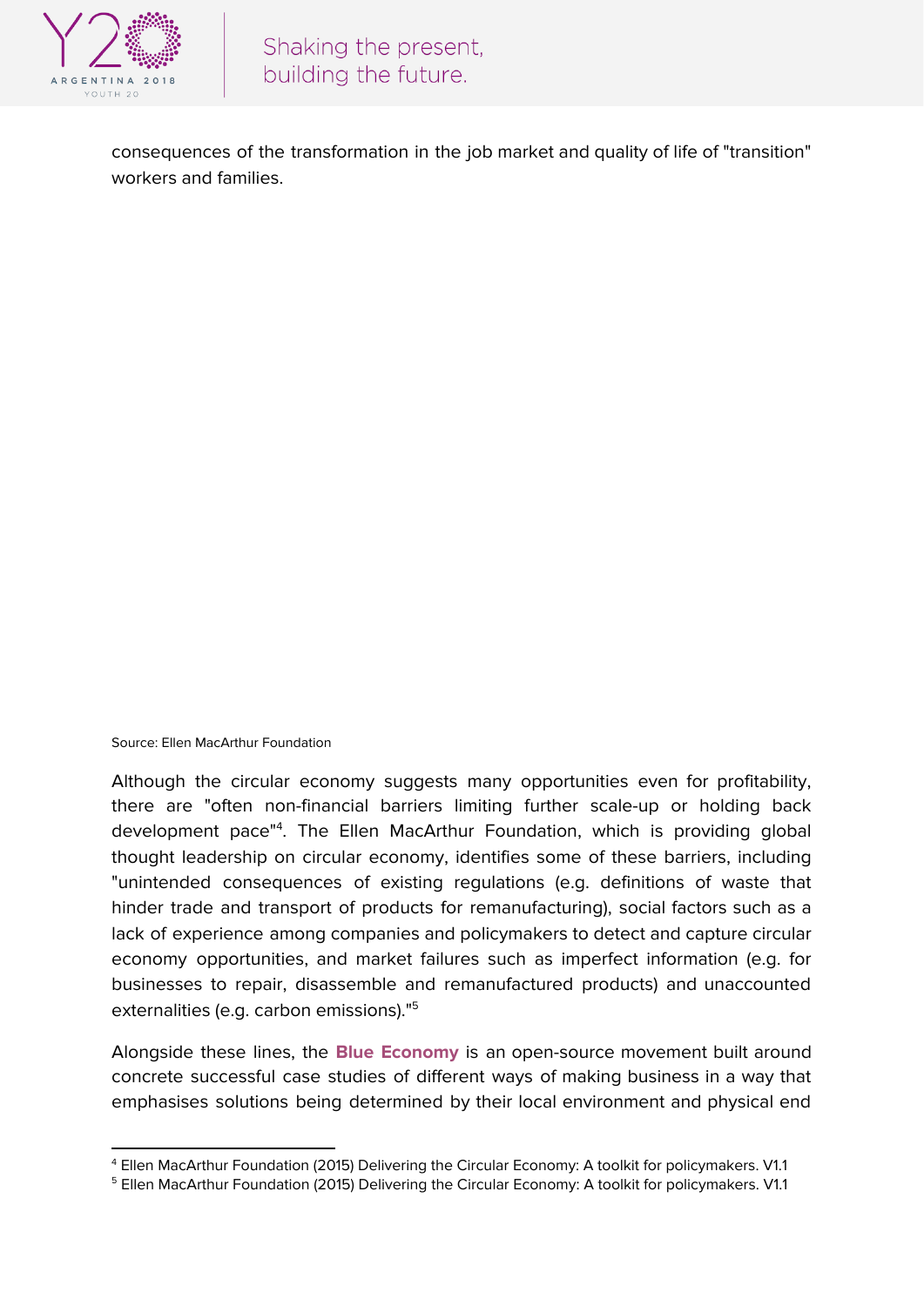

consequences of the transformation in the job market and quality of life of "transition" workers and families.

Source: Ellen MacArthur Foundation

Although the circular economy suggests many opportunities even for profitability, there are "often non-financial barriers limiting further scale-up or holding back development pace"<sup>4</sup>. The Ellen MacArthur Foundation, which is providing global thought leadership on circular economy, identifies some of these barriers, including "unintended consequences of existing regulations (e.g. definitions of waste that hinder trade and transport of products for remanufacturing), social factors such as a lack of experience among companies and policymakers to detect and capture circular economy opportunities, and market failures such as imperfect information (e.g. for businesses to repair, disassemble and remanufactured products) and unaccounted externalities (e.g. carbon emissions)." 5

Alongside these lines, the **Blue Economy** is an open-source movement built around concrete successful case studies of different ways of making business in a way that emphasises solutions being determined by their local environment and physical end

<sup>4</sup> Ellen MacArthur Foundation (2015) Delivering the Circular Economy: A toolkit for policymakers. V1.1

<sup>&</sup>lt;sup>5</sup> Ellen MacArthur Foundation (2015) Delivering the Circular Economy: A toolkit for policymakers. V1.1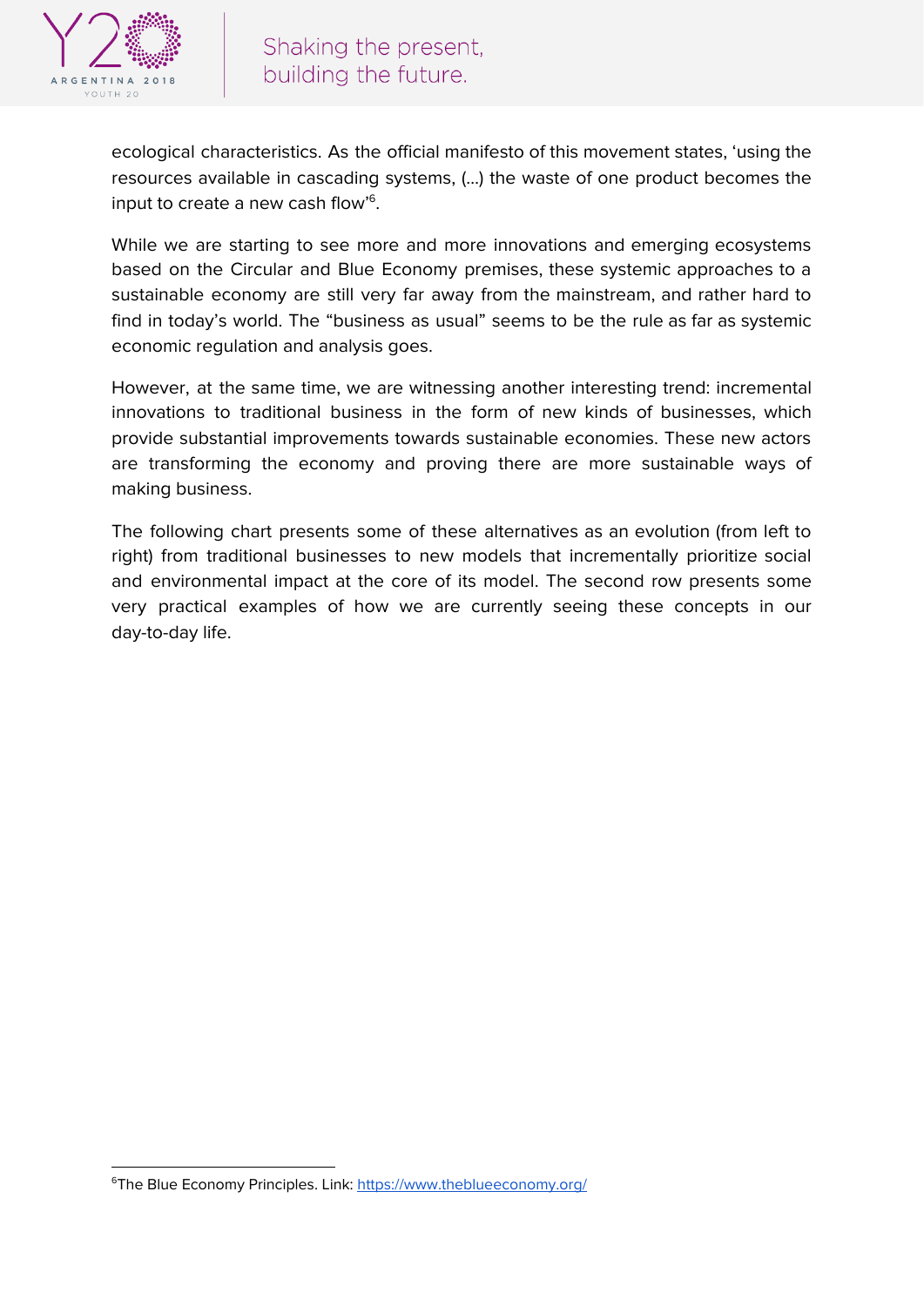

ecological characteristics. As the official manifesto of this movement states, 'using the resources available in cascading systems, (…) the waste of one product becomes the input to create a new cash flow'<sup>6</sup>.

While we are starting to see more and more innovations and emerging ecosystems based on the Circular and Blue Economy premises, these systemic approaches to a sustainable economy are still very far away from the mainstream, and rather hard to find in today's world. The "business as usual" seems to be the rule as far as systemic economic regulation and analysis goes.

However, at the same time, we are witnessing another interesting trend: incremental innovations to traditional business in the form of new kinds of businesses, which provide substantial improvements towards sustainable economies. These new actors are transforming the economy and proving there are more sustainable ways of making business.

The following chart presents some of these alternatives as an evolution (from left to right) from traditional businesses to new models that incrementally prioritize social and environmental impact at the core of its model. The second row presents some very practical examples of how we are currently seeing these concepts in our day-to-day life.

<sup>&</sup>lt;sup>6</sup>The Blue Economy Principles. Link: <https://www.theblueeconomy.org/>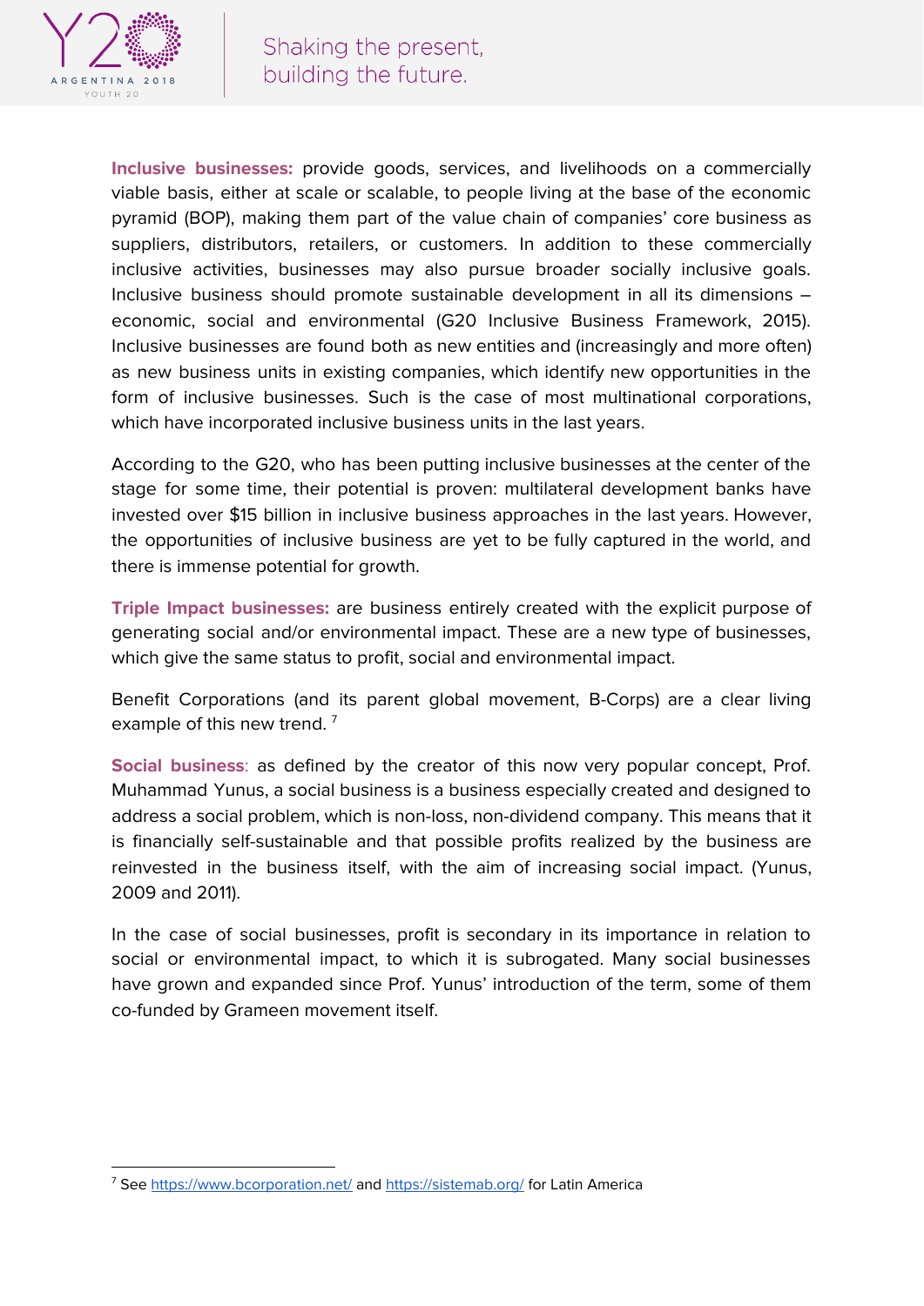

**Inclusive businesses:** provide goods, services, and livelihoods on a commercially viable basis, either at scale or scalable, to people living at the base of the economic pyramid (BOP), making them part of the value chain of companies' core business as suppliers, distributors, retailers, or customers. In addition to these commercially inclusive activities, businesses may also pursue broader socially inclusive goals. Inclusive business should promote sustainable development in all its dimensions – economic, social and environmental (G20 Inclusive Business Framework, 2015). Inclusive businesses are found both as new entities and (increasingly and more often) as new business units in existing companies, which identify new opportunities in the form of inclusive businesses. Such is the case of most multinational corporations, which have incorporated inclusive business units in the last years.

According to the G20, who has been putting inclusive businesses at the center of the stage for some time, their potential is proven: multilateral development banks have invested over \$15 billion in inclusive business approaches in the last years. However, the opportunities of inclusive business are yet to be fully captured in the world, and there is immense potential for growth.

**Triple Impact businesses:** are business entirely created with the explicit purpose of generating social and/or environmental impact. These are a new type of businesses, which give the same status to profit, social and environmental impact.

Benefit Corporations (and its parent global movement, B-Corps) are a clear living example of this new trend.<sup>7</sup>

**Social business**: as defined by the creator of this now very popular concept, Prof. Muhammad Yunus, a social business is a business especially created and designed to address a social problem, which is non-loss, non-dividend company. This means that it is financially self-sustainable and that possible profits realized by the business are reinvested in the business itself, with the aim of increasing social impact. (Yunus, 2009 and 2011).

In the case of social businesses, profit is secondary in its importance in relation to social or environmental impact, to which it is subrogated. Many social businesses have grown and expanded since Prof. Yunus' introduction of the term, some of them co-funded by Grameen movement itself.

<sup>&</sup>lt;sup>7</sup> See <https://www.bcorporation.net/> and <https://sistemab.org/> for Latin America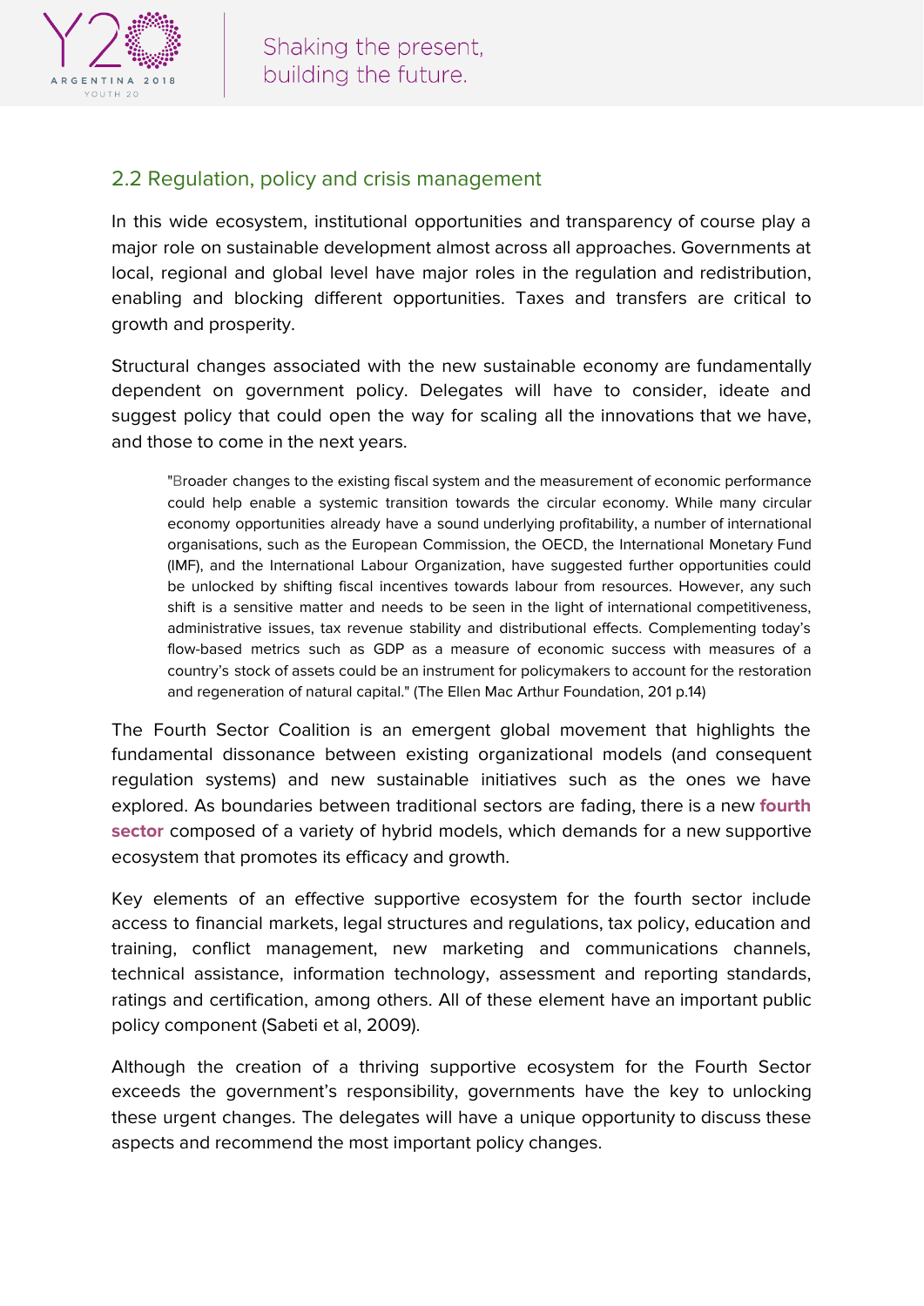

#### 2.2 Regulation, policy and crisis management

In this wide ecosystem, institutional opportunities and transparency of course play a major role on sustainable development almost across all approaches. Governments at local, regional and global level have major roles in the regulation and redistribution, enabling and blocking different opportunities. Taxes and transfers are critical to growth and prosperity.

Structural changes associated with the new sustainable economy are fundamentally dependent on government policy. Delegates will have to consider, ideate and suggest policy that could open the way for scaling all the innovations that we have, and those to come in the next years.

"Broader changes to the existing fiscal system and the measurement of economic performance could help enable a systemic transition towards the circular economy. While many circular economy opportunities already have a sound underlying profitability, a number of international organisations, such as the European Commission, the OECD, the International Monetary Fund (IMF), and the International Labour Organization, have suggested further opportunities could be unlocked by shifting fiscal incentives towards labour from resources. However, any such shift is a sensitive matter and needs to be seen in the light of international competitiveness, administrative issues, tax revenue stability and distributional effects. Complementing today's flow-based metrics such as GDP as a measure of economic success with measures of a country's stock of assets could be an instrument for policymakers to account for the restoration and regeneration of natural capital." (The Ellen Mac Arthur Foundation, 201 p.14)

The Fourth Sector Coalition is an emergent global movement that highlights the fundamental dissonance between existing organizational models (and consequent regulation systems) and new sustainable initiatives such as the ones we have explored. As boundaries between traditional sectors are fading, there is a new **fourth sector** composed of a variety of hybrid models, which demands for a new supportive ecosystem that promotes its efficacy and growth.

Key elements of an effective supportive ecosystem for the fourth sector include access to financial markets, legal structures and regulations, tax policy, education and training, conflict management, new marketing and communications channels, technical assistance, information technology, assessment and reporting standards, ratings and certification, among others. All of these element have an important public policy component (Sabeti et al, 2009).

Although the creation of a thriving supportive ecosystem for the Fourth Sector exceeds the government's responsibility, governments have the key to unlocking these urgent changes. The delegates will have a unique opportunity to discuss these aspects and recommend the most important policy changes.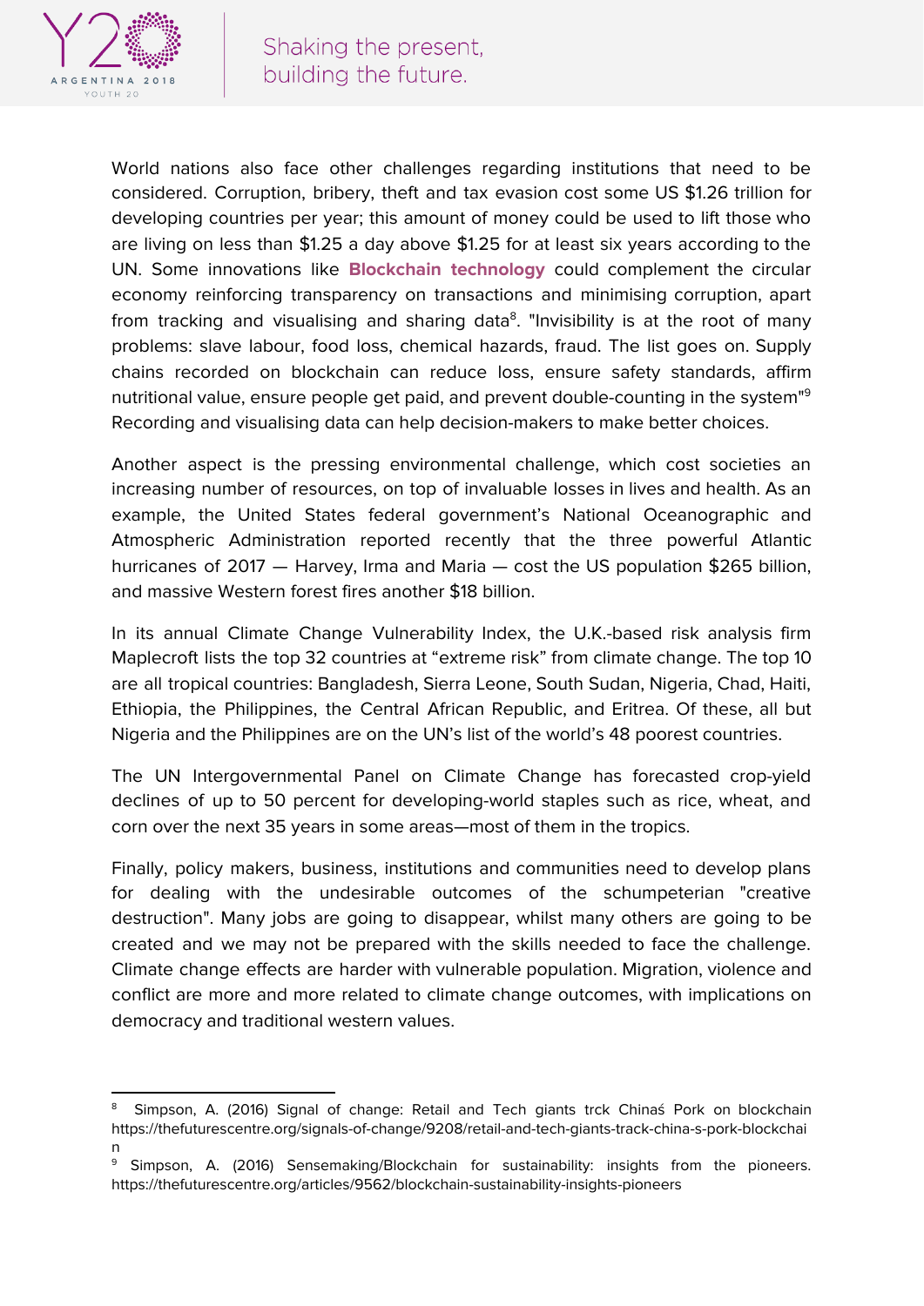

World nations also face other challenges regarding institutions that need to be considered. Corruption, bribery, theft and tax evasion cost some US \$1.26 trillion for developing countries per year; this amount of money could be used to lift those who are living on less than \$1.25 a day above \$1.25 for at least six years according to the UN. Some innovations like **Blockchain technology** could complement the circular economy reinforcing transparency on transactions and minimising corruption, apart from tracking and visualising and sharing data<sup>8</sup>. "Invisibility is at the root of many problems: slave labour, food loss, chemical hazards, fraud. The list goes on. Supply chains recorded on blockchain can reduce loss, ensure safety standards, affirm nutritional value, ensure people get paid, and prevent double-counting in the system" 9 Recording and visualising data can help decision-makers to make better choices.

Another aspect is the pressing environmental challenge, which cost societies an increasing number of resources, on top of invaluable losses in lives and health. As an example, the United States federal government's National Oceanographic and Atmospheric Administration [reported](http://edition.cnn.com/2018/01/08/us/2017-costliest-disasters/index.html) recently that the three powerful Atlantic hurricanes of 2017 — Harvey, Irma and Maria — cost the US population \$265 billion, and massive Western forest fires another \$18 billion.

In its annual Climate Change [Vulnerability](http://maplecroft.com/portfolio/new-analysis/2014/10/29/climate-change-and-lack-food-security-multiply-risks-conflict-and-civil-unrest-32-countries-maplecroft/) Index, the U.K.-based risk analysis firm Maplecroft lists the top 32 countries at "extreme risk" from climate change. The top 10 are all tropical countries: Bangladesh, Sierra Leone, South Sudan, Nigeria, Chad, Haiti, Ethiopia, the Philippines, the Central African Republic, and Eritrea. Of these, all but Nigeria and the Philippines are on the UN's list of the world's 48 poorest countries.

The UN [Intergovernmental](http://www.ipcc.ch/) Panel on Climate Change has forecasted crop-yield declines of up to 50 percent for developing-world staples such as rice, wheat, and corn over the next 35 years in some areas—most of them in the tropics.

Finally, policy makers, business, institutions and communities need to develop plans for dealing with the undesirable outcomes of the schumpeterian "creative destruction". Many jobs are going to disappear, whilst many others are going to be created and we may not be prepared with the skills needed to face the challenge. Climate change effects are harder with vulnerable population. Migration, violence and conflict are more and more related to climate change outcomes, with implications on democracy and traditional western values.

<sup>8</sup> Simpson, A. (2016) Signal of change: Retail and Tech giants trck Chinaś Pork on blockchain https://thefuturescentre.org/signals-of-change/9208/retail-and-tech-giants-track-china-s-pork-blockchai n

<sup>&</sup>lt;sup>9</sup> Simpson, A. (2016) Sensemaking/Blockchain for sustainability: insights from the pioneers. https://thefuturescentre.org/articles/9562/blockchain-sustainability-insights-pioneers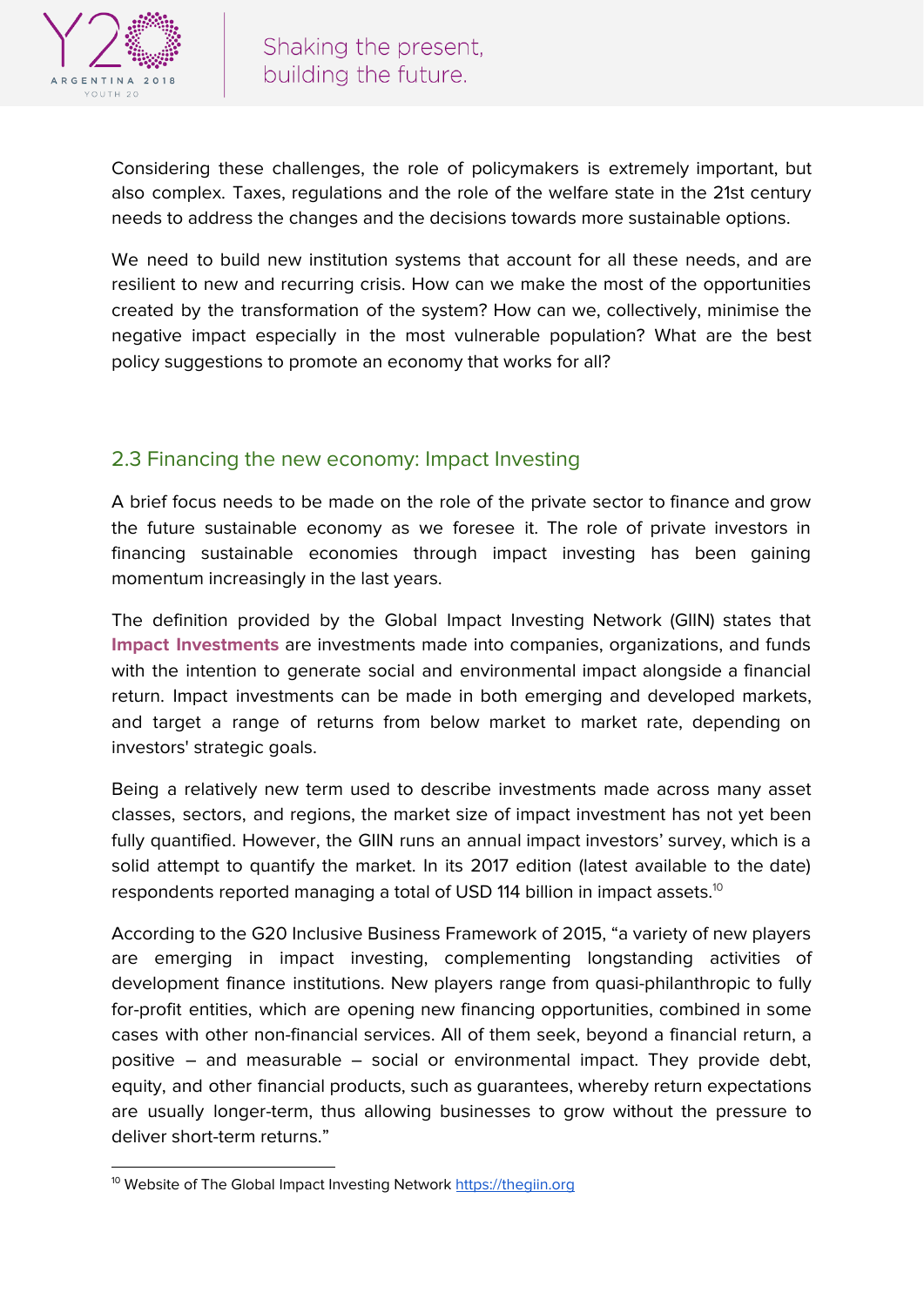

Considering these challenges, the role of policymakers is extremely important, but also complex. Taxes, regulations and the role of the welfare state in the 21st century needs to address the changes and the decisions towards more sustainable options.

We need to build new institution systems that account for all these needs, and are resilient to new and recurring crisis. How can we make the most of the opportunities created by the transformation of the system? How can we, collectively, minimise the negative impact especially in the most vulnerable population? What are the best policy suggestions to promote an economy that works for all?

#### 2.3 Financing the new economy: Impact Investing

A brief focus needs to be made on the role of the private sector to finance and grow the future sustainable economy as we foresee it. The role of private investors in financing sustainable economies through impact investing has been gaining momentum increasingly in the last years.

The definition provided by the Global Impact Investing Network (GIIN) states that **Impact Investments** are investments made into companies, organizations, and funds with the intention to generate social and environmental impact alongside a financial return. Impact investments can be made in both emerging and developed markets, and target a range of returns from below market to market rate, depending on investors' strategic goals.

Being a relatively new term used to describe investments made across many asset classes, sectors, and regions, the market size of impact investment has not yet been fully quantified. However, the GIIN runs an annual impact investors' survey, which is a solid attempt to quantify the market. In its 2017 edition (latest available to the date) respondents reported managing a total of USD 114 billion in impact assets. $^{\rm 10}$ 

According to the G20 Inclusive Business Framework of 2015, "a variety of new players are emerging in impact investing, complementing longstanding activities of development finance institutions. New players range from quasi-philanthropic to fully for-profit entities, which are opening new financing opportunities, combined in some cases with other non-financial services. All of them seek, beyond a financial return, a positive – and measurable – social or environmental impact. They provide debt, equity, and other financial products, such as guarantees, whereby return expectations are usually longer-term, thus allowing businesses to grow without the pressure to deliver short-term returns."

<sup>&</sup>lt;sup>10</sup> Website of The Global Impact Investing Network [https://thegiin.org](https://thegiin.org/)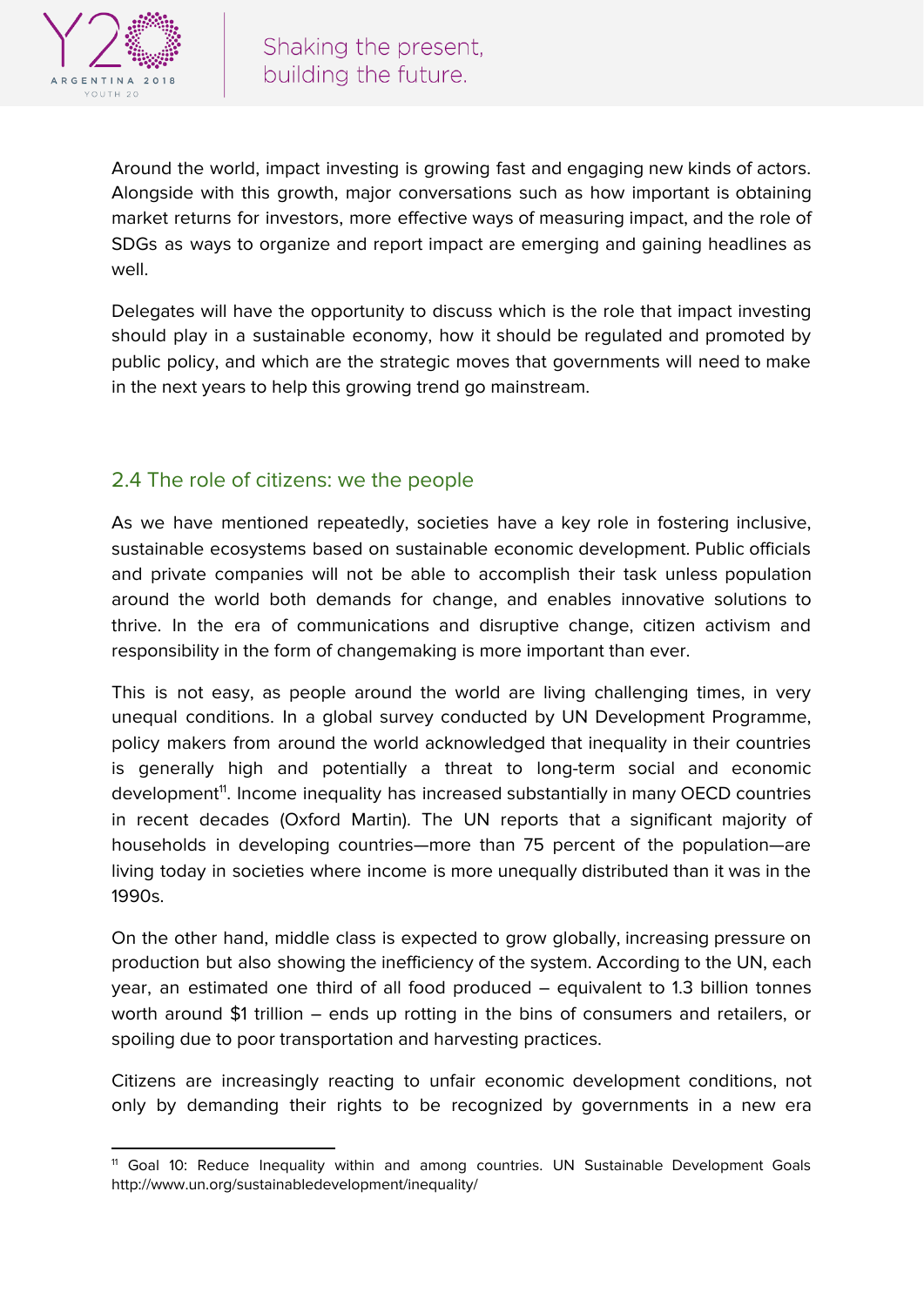

Around the world, impact investing is growing fast and engaging new kinds of actors. Alongside with this growth, major conversations such as how important is obtaining market returns for investors, more effective ways of measuring impact, and the role of SDGs as ways to organize and report impact are emerging and gaining headlines as well.

Delegates will have the opportunity to discuss which is the role that impact investing should play in a sustainable economy, how it should be regulated and promoted by public policy, and which are the strategic moves that governments will need to make in the next years to help this growing trend go mainstream.

#### 2.4 The role of citizens: we the people

As we have mentioned repeatedly, societies have a key role in fostering inclusive, sustainable ecosystems based on sustainable economic development. Public officials and private companies will not be able to accomplish their task unless population around the world both demands for change, and enables innovative solutions to thrive. In the era of communications and disruptive change, citizen activism and responsibility in the form of changemaking is more important than ever.

This is not easy, as people around the world are living challenging times, in very unequal conditions. In a global survey conducted by UN Development Programme, policy makers from around the world acknowledged that inequality in their countries is generally high and potentially a threat to long-term social and economic development<sup>11</sup>. Income inequality has increased substantially in many OECD countries in recent decades (Oxford Martin). The UN reports that a significant majority of households in developing countries—more than 75 percent of the population—are living today in societies where income is more unequally distributed than it was in the 1990s.

On the other hand, middle class is expected to grow globally, increasing pressure on production but also showing the inefficiency of the system. According to the UN, each year, an estimated one third of all food produced – equivalent to 1.3 billion tonnes worth around \$1 trillion – ends up rotting in the bins of consumers and retailers, or spoiling due to poor transportation and harvesting practices.

Citizens are increasingly reacting to unfair economic development conditions, not only by demanding their rights to be recognized by governments in a new era

<sup>&</sup>lt;sup>11</sup> Goal 10: Reduce Inequality within and among countries. UN Sustainable Development Goals http://www.un.org/sustainabledevelopment/inequality/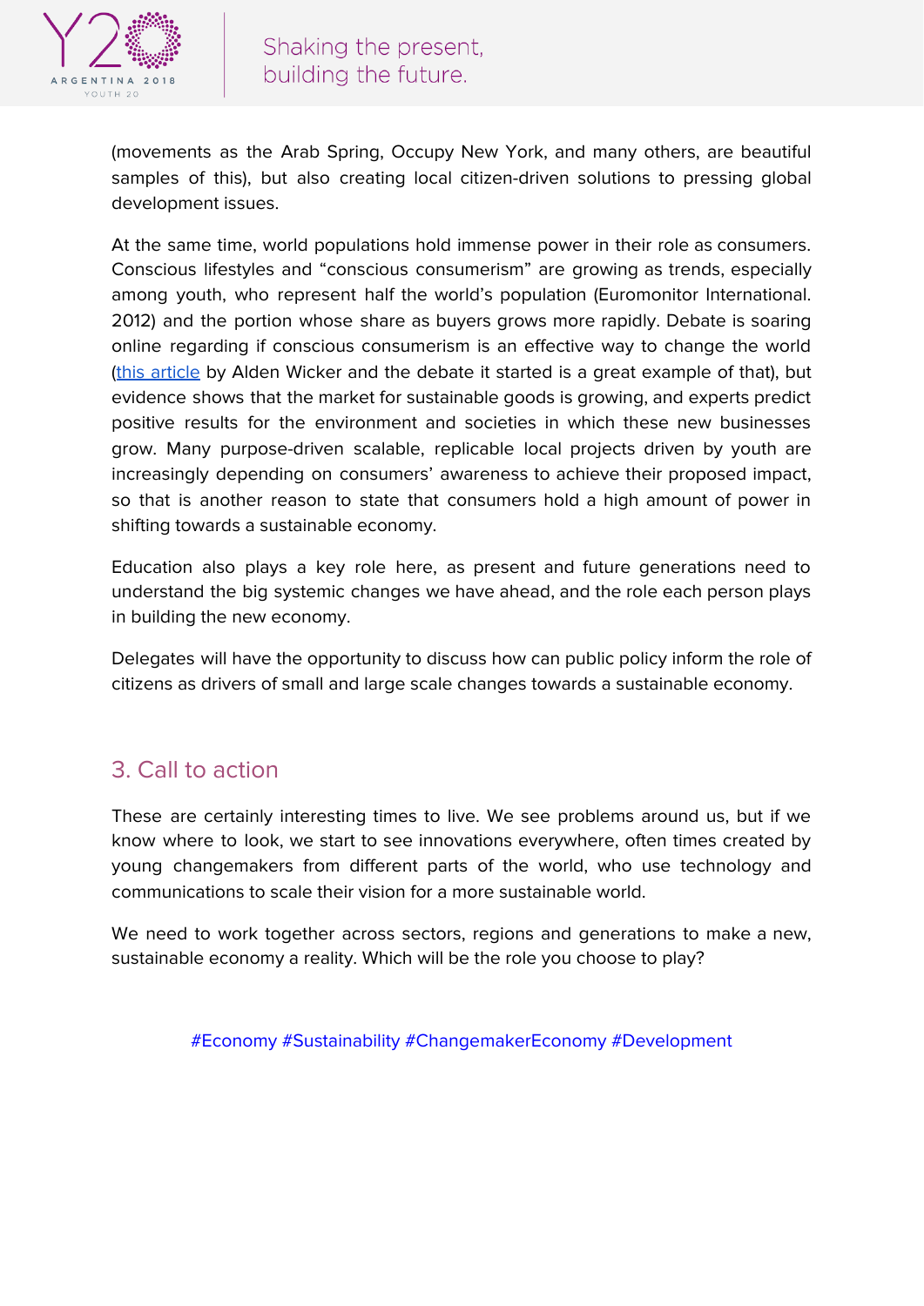

(movements as the Arab Spring, Occupy New York, and many others, are beautiful samples of this), but also creating local citizen-driven solutions to pressing global development issues.

At the same time, world populations hold immense power in their role as consumers. Conscious lifestyles and "conscious consumerism" are growing as trends, especially among youth, who represent half the world's population (Euromonitor International. 2012) and the portion whose share as buyers grows more rapidly. Debate is soaring online regarding if conscious consumerism is an effective way to change the world (this [article](https://qz.com/920561/conscious-consumerism-is-a-lie-heres-a-better-way-to-help-save-the-world/) by Alden Wicker and the debate it started is a great example of that), but evidence shows that the market for sustainable goods is growing, and experts predict positive results for the environment and societies in which these new businesses grow. Many purpose-driven scalable, replicable local projects driven by youth are increasingly depending on consumers' awareness to achieve their proposed impact, so that is another reason to state that consumers hold a high amount of power in shifting towards a sustainable economy.

Education also plays a key role here, as present and future generations need to understand the big systemic changes we have ahead, and the role each person plays in building the new economy.

Delegates will have the opportunity to discuss how can public policy inform the role of citizens as drivers of small and large scale changes towards a sustainable economy.

### 3. Call to action

These are certainly interesting times to live. We see problems around us, but if we know where to look, we start to see innovations everywhere, often times created by young changemakers from different parts of the world, who use technology and communications to scale their vision for a more sustainable world.

We need to work together across sectors, regions and generations to make a new, sustainable economy a reality. Which will be the role you choose to play?

#Economy #Sustainability #ChangemakerEconomy #Development